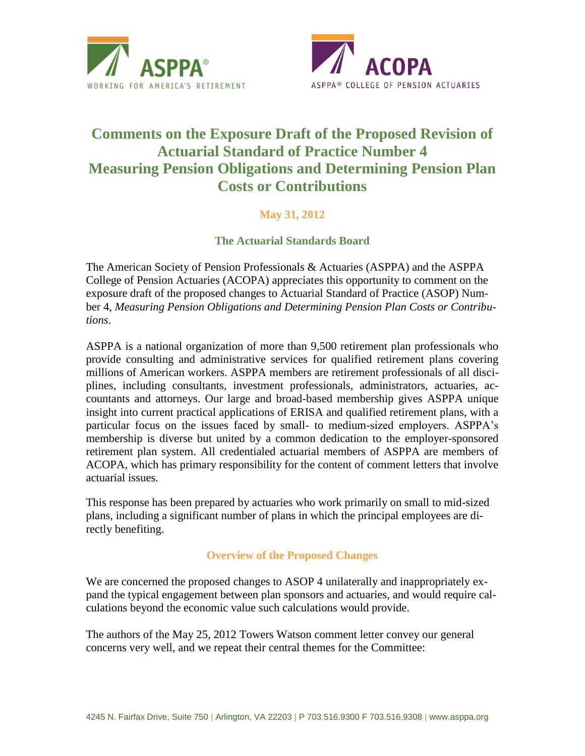



# **Comments on the Exposure Draft of the Proposed Revision of Actuarial Standard of Practice Number 4 Measuring Pension Obligations and Determining Pension Plan Costs or Contributions**

## **May 31, 2012**

## **The Actuarial Standards Board**

The American Society of Pension Professionals & Actuaries (ASPPA) and the ASPPA College of Pension Actuaries (ACOPA) appreciates this opportunity to comment on the exposure draft of the proposed changes to Actuarial Standard of Practice (ASOP) Number 4, *Measuring Pension Obligations and Determining Pension Plan Costs or Contributions*.

ASPPA is a national organization of more than 9,500 retirement plan professionals who provide consulting and administrative services for qualified retirement plans covering millions of American workers. ASPPA members are retirement professionals of all disciplines, including consultants, investment professionals, administrators, actuaries, accountants and attorneys. Our large and broad-based membership gives ASPPA unique insight into current practical applications of ERISA and qualified retirement plans, with a particular focus on the issues faced by small- to medium-sized employers. ASPPA's membership is diverse but united by a common dedication to the employer-sponsored retirement plan system. All credentialed actuarial members of ASPPA are members of ACOPA, which has primary responsibility for the content of comment letters that involve actuarial issues.

This response has been prepared by actuaries who work primarily on small to mid-sized plans, including a significant number of plans in which the principal employees are directly benefiting.

## **Overview of the Proposed Changes**

We are concerned the proposed changes to ASOP 4 unilaterally and inappropriately expand the typical engagement between plan sponsors and actuaries, and would require calculations beyond the economic value such calculations would provide.

The authors of the May 25, 2012 Towers Watson comment letter convey our general concerns very well, and we repeat their central themes for the Committee: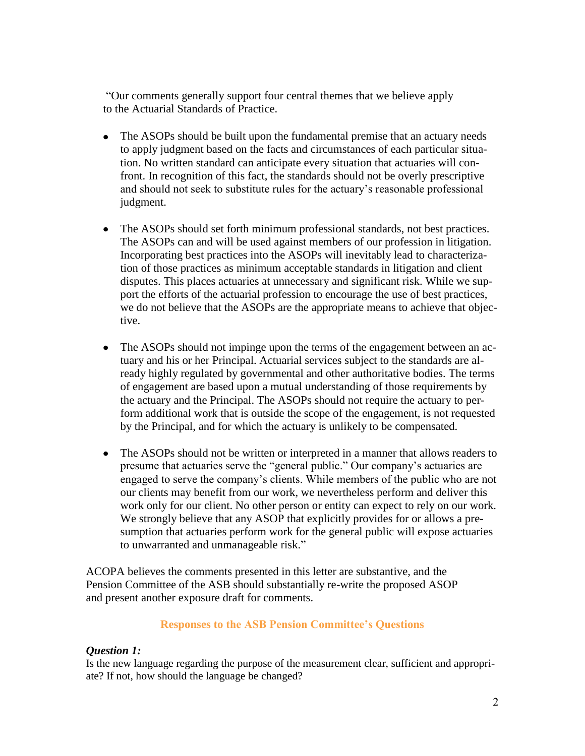"Our comments generally support four central themes that we believe apply to the Actuarial Standards of Practice.

- The ASOPs should be built upon the fundamental premise that an actuary needs to apply judgment based on the facts and circumstances of each particular situation. No written standard can anticipate every situation that actuaries will confront. In recognition of this fact, the standards should not be overly prescriptive and should not seek to substitute rules for the actuary's reasonable professional judgment.
- The ASOPs should set forth minimum professional standards, not best practices. The ASOPs can and will be used against members of our profession in litigation. Incorporating best practices into the ASOPs will inevitably lead to characterization of those practices as minimum acceptable standards in litigation and client disputes. This places actuaries at unnecessary and significant risk. While we support the efforts of the actuarial profession to encourage the use of best practices, we do not believe that the ASOPs are the appropriate means to achieve that objective.
- The ASOPs should not impinge upon the terms of the engagement between an actuary and his or her Principal. Actuarial services subject to the standards are already highly regulated by governmental and other authoritative bodies. The terms of engagement are based upon a mutual understanding of those requirements by the actuary and the Principal. The ASOPs should not require the actuary to perform additional work that is outside the scope of the engagement, is not requested by the Principal, and for which the actuary is unlikely to be compensated.
- The ASOPs should not be written or interpreted in a manner that allows readers to presume that actuaries serve the "general public." Our company's actuaries are engaged to serve the company's clients. While members of the public who are not our clients may benefit from our work, we nevertheless perform and deliver this work only for our client. No other person or entity can expect to rely on our work. We strongly believe that any ASOP that explicitly provides for or allows a presumption that actuaries perform work for the general public will expose actuaries to unwarranted and unmanageable risk."

ACOPA believes the comments presented in this letter are substantive, and the Pension Committee of the ASB should substantially re-write the proposed ASOP and present another exposure draft for comments.

#### **Responses to the ASB Pension Committee's Questions**

## *Question 1:*

Is the new language regarding the purpose of the measurement clear, sufficient and appropriate? If not, how should the language be changed?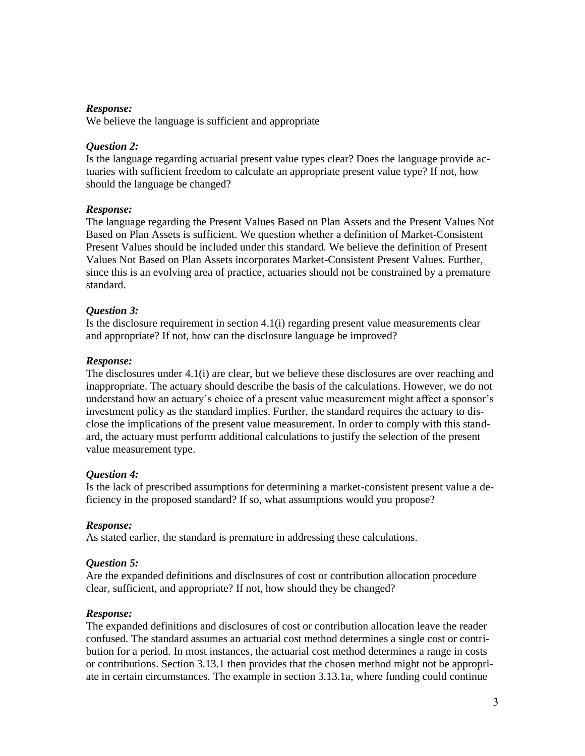#### *Response:*

We believe the language is sufficient and appropriate

#### *Question 2:*

Is the language regarding actuarial present value types clear? Does the language provide actuaries with sufficient freedom to calculate an appropriate present value type? If not, how should the language be changed?

#### *Response:*

The language regarding the Present Values Based on Plan Assets and the Present Values Not Based on Plan Assets is sufficient. We question whether a definition of Market-Consistent Present Values should be included under this standard. We believe the definition of Present Values Not Based on Plan Assets incorporates Market-Consistent Present Values. Further, since this is an evolving area of practice, actuaries should not be constrained by a premature standard.

#### *Question 3:*

Is the disclosure requirement in section 4.1(i) regarding present value measurements clear and appropriate? If not, how can the disclosure language be improved?

#### *Response:*

The disclosures under 4.1(i) are clear, but we believe these disclosures are over reaching and inappropriate. The actuary should describe the basis of the calculations. However, we do not understand how an actuary's choice of a present value measurement might affect a sponsor's investment policy as the standard implies. Further, the standard requires the actuary to disclose the implications of the present value measurement. In order to comply with this standard, the actuary must perform additional calculations to justify the selection of the present value measurement type.

#### *Question 4:*

Is the lack of prescribed assumptions for determining a market-consistent present value a deficiency in the proposed standard? If so, what assumptions would you propose?

#### *Response:*

As stated earlier, the standard is premature in addressing these calculations.

#### *Question 5:*

Are the expanded definitions and disclosures of cost or contribution allocation procedure clear, sufficient, and appropriate? If not, how should they be changed?

#### *Response:*

The expanded definitions and disclosures of cost or contribution allocation leave the reader confused. The standard assumes an actuarial cost method determines a single cost or contribution for a period. In most instances, the actuarial cost method determines a range in costs or contributions. Section 3.13.1 then provides that the chosen method might not be appropriate in certain circumstances. The example in section 3.13.1a, where funding could continue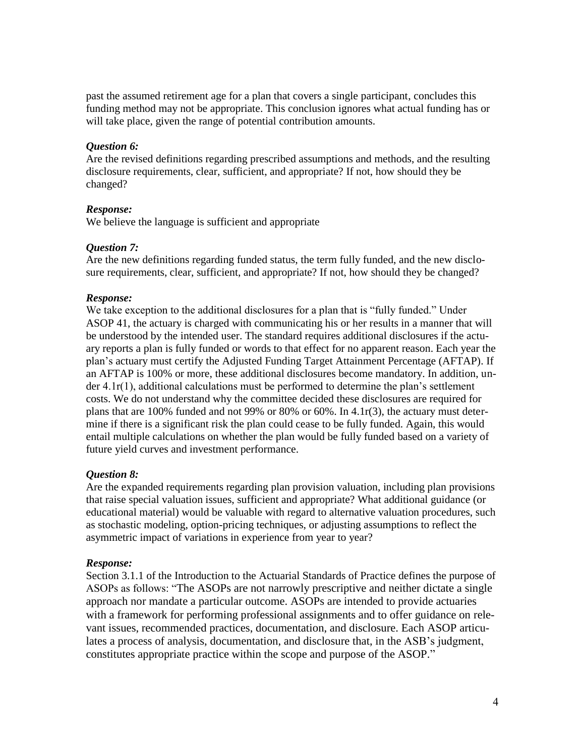past the assumed retirement age for a plan that covers a single participant, concludes this funding method may not be appropriate. This conclusion ignores what actual funding has or will take place, given the range of potential contribution amounts.

#### *Question 6:*

Are the revised definitions regarding prescribed assumptions and methods, and the resulting disclosure requirements, clear, sufficient, and appropriate? If not, how should they be changed?

#### *Response:*

We believe the language is sufficient and appropriate

#### *Question 7:*

Are the new definitions regarding funded status, the term fully funded, and the new disclosure requirements, clear, sufficient, and appropriate? If not, how should they be changed?

#### *Response:*

We take exception to the additional disclosures for a plan that is "fully funded." Under ASOP 41, the actuary is charged with communicating his or her results in a manner that will be understood by the intended user. The standard requires additional disclosures if the actuary reports a plan is fully funded or words to that effect for no apparent reason. Each year the plan's actuary must certify the Adjusted Funding Target Attainment Percentage (AFTAP). If an AFTAP is 100% or more, these additional disclosures become mandatory. In addition, under 4.1r(1), additional calculations must be performed to determine the plan's settlement costs. We do not understand why the committee decided these disclosures are required for plans that are 100% funded and not 99% or 80% or 60%. In 4.1r(3), the actuary must determine if there is a significant risk the plan could cease to be fully funded. Again, this would entail multiple calculations on whether the plan would be fully funded based on a variety of future yield curves and investment performance.

#### *Question 8:*

Are the expanded requirements regarding plan provision valuation, including plan provisions that raise special valuation issues, sufficient and appropriate? What additional guidance (or educational material) would be valuable with regard to alternative valuation procedures, such as stochastic modeling, option-pricing techniques, or adjusting assumptions to reflect the asymmetric impact of variations in experience from year to year?

#### *Response:*

Section 3.1.1 of the Introduction to the Actuarial Standards of Practice defines the purpose of ASOPs as follows: "The ASOPs are not narrowly prescriptive and neither dictate a single approach nor mandate a particular outcome. ASOPs are intended to provide actuaries with a framework for performing professional assignments and to offer guidance on relevant issues, recommended practices, documentation, and disclosure. Each ASOP articulates a process of analysis, documentation, and disclosure that, in the ASB's judgment, constitutes appropriate practice within the scope and purpose of the ASOP."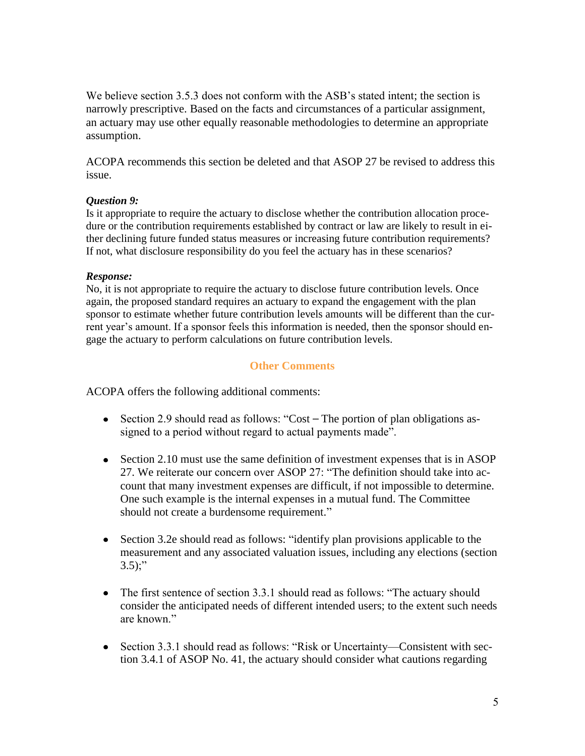We believe section 3.5.3 does not conform with the ASB's stated intent; the section is narrowly prescriptive. Based on the facts and circumstances of a particular assignment, an actuary may use other equally reasonable methodologies to determine an appropriate assumption.

ACOPA recommends this section be deleted and that ASOP 27 be revised to address this issue.

## *Question 9:*

Is it appropriate to require the actuary to disclose whether the contribution allocation procedure or the contribution requirements established by contract or law are likely to result in either declining future funded status measures or increasing future contribution requirements? If not, what disclosure responsibility do you feel the actuary has in these scenarios?

## *Response:*

No, it is not appropriate to require the actuary to disclose future contribution levels. Once again, the proposed standard requires an actuary to expand the engagement with the plan sponsor to estimate whether future contribution levels amounts will be different than the current year's amount. If a sponsor feels this information is needed, then the sponsor should engage the actuary to perform calculations on future contribution levels.

## **Other Comments**

ACOPA offers the following additional comments:

- Section 2.9 should read as follows: "Cost  $-$  The portion of plan obligations assigned to a period without regard to actual payments made".
- Section 2.10 must use the same definition of investment expenses that is in ASOP 27. We reiterate our concern over ASOP 27: "The definition should take into account that many investment expenses are difficult, if not impossible to determine. One such example is the internal expenses in a mutual fund. The Committee should not create a burdensome requirement."
- Section 3.2e should read as follows: "identify plan provisions applicable to the measurement and any associated valuation issues, including any elections (section  $3.5$ ;"
- The first sentence of section 3.3.1 should read as follows: "The actuary should consider the anticipated needs of different intended users; to the extent such needs are known."
- Section 3.3.1 should read as follows: "Risk or Uncertainty—Consistent with section 3.4.1 of ASOP No. 41, the actuary should consider what cautions regarding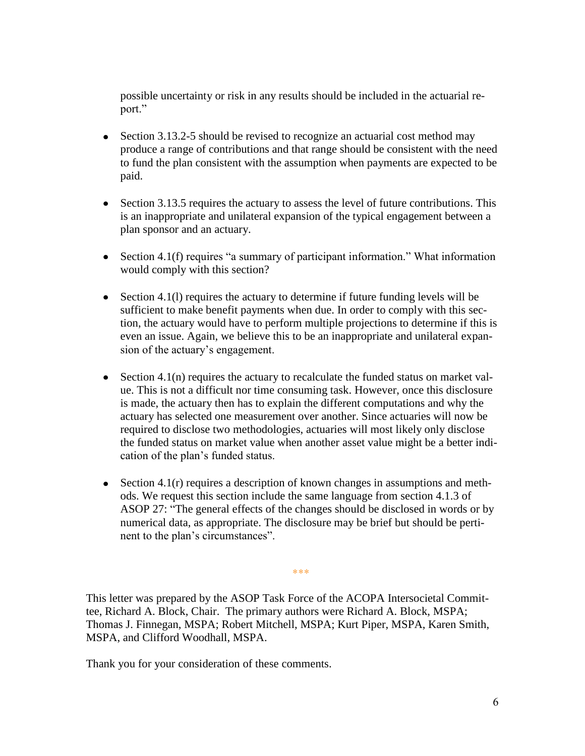possible uncertainty or risk in any results should be included in the actuarial report."

- Section 3.13.2-5 should be revised to recognize an actuarial cost method may produce a range of contributions and that range should be consistent with the need to fund the plan consistent with the assumption when payments are expected to be paid.
- Section 3.13.5 requires the actuary to assess the level of future contributions. This is an inappropriate and unilateral expansion of the typical engagement between a plan sponsor and an actuary.
- Section 4.1(f) requires "a summary of participant information." What information would comply with this section?
- Section 4.1(l) requires the actuary to determine if future funding levels will be sufficient to make benefit payments when due. In order to comply with this section, the actuary would have to perform multiple projections to determine if this is even an issue. Again, we believe this to be an inappropriate and unilateral expansion of the actuary's engagement.
- $\bullet$  Section 4.1(n) requires the actuary to recalculate the funded status on market value. This is not a difficult nor time consuming task. However, once this disclosure is made, the actuary then has to explain the different computations and why the actuary has selected one measurement over another. Since actuaries will now be required to disclose two methodologies, actuaries will most likely only disclose the funded status on market value when another asset value might be a better indication of the plan's funded status.
- Section  $4.1(r)$  requires a description of known changes in assumptions and methods. We request this section include the same language from section 4.1.3 of ASOP 27: "The general effects of the changes should be disclosed in words or by numerical data, as appropriate. The disclosure may be brief but should be pertinent to the plan's circumstances".

\*\*\*

This letter was prepared by the ASOP Task Force of the ACOPA Intersocietal Committee, Richard A. Block, Chair. The primary authors were Richard A. Block, MSPA; Thomas J. Finnegan, MSPA; Robert Mitchell, MSPA; Kurt Piper, MSPA, Karen Smith, MSPA, and Clifford Woodhall, MSPA.

Thank you for your consideration of these comments.